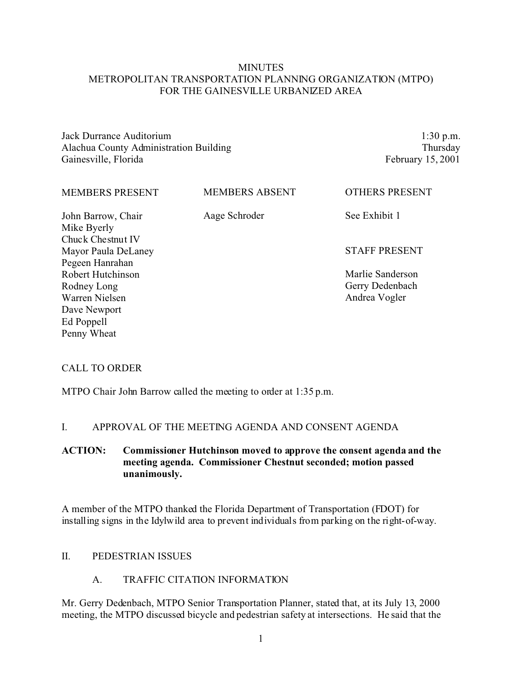## **MINUTES** METROPOLITAN TRANSPORTATION PLANNING ORGANIZATION (MTPO) FOR THE GAINESVILLE URBANIZED AREA

Jack Durrance Auditorium Alachua County Administration Building Gainesville, Florida

1:30 p.m. Thursday February 15, 2001

| <b>MEMBERS PRESENT</b> | <b>MEMBERS ABSENT</b> | <b>OTHERS PRESENT</b> |
|------------------------|-----------------------|-----------------------|
| John Barrow, Chair     | Aage Schroder         | See Exhibit 1         |
| Mike Byerly            |                       |                       |
| Chuck Chestnut IV      |                       |                       |
| Mayor Paula DeLaney    |                       | <b>STAFF PRESENT</b>  |
| Pegeen Hanrahan        |                       |                       |
| Robert Hutchinson      |                       | Marlie Sanderson      |
| Rodney Long            |                       | Gerry Dedenbach       |
| Warren Nielsen         |                       | Andrea Vogler         |
| Dave Newport           |                       |                       |
| Ed Poppell             |                       |                       |
| Penny Wheat            |                       |                       |

## CALL TO ORDER

MTPO Chair John Barrow called the meeting to order at 1:35 p.m.

### I. APPROVAL OF THE MEETING AGENDA AND CONSENT AGENDA

## **ACTION: Commissioner Hutchinson moved to approve the consent agenda and the meeting agenda. Commissioner Chestnut seconded; motion passed unanimously.**

A member of the MTPO thanked the Florida Department of Transportation (FDOT) for installing signs in the Idylwild area to prevent individuals from parking on the right-of-way.

#### II. PEDESTRIAN ISSUES

### A. TRAFFIC CITATION INFORMATION

Mr. Gerry Dedenbach, MTPO Senior Transportation Planner, stated that, at its July 13, 2000 meeting, the MTPO discussed bicycle and pedestrian safety at intersections. He said that the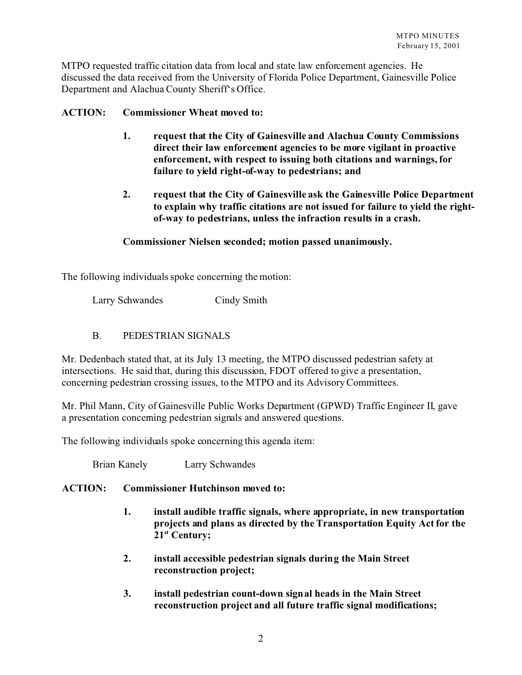MTPO requested traffic citation data from local and state law enforcement agencies. He discussed the data received from the University of Florida Police Department, Gainesville Police Department and Alachua County Sheriff's Office.

## **ACTION: Commissioner Wheat moved to:**

- **1. request that the City of Gainesville and Alachua County Commissions direct their law enforcement agencies to be more vigilant in proactive enforcement, with respect to issuing both citations and warnings, for failure to yield right-of-way to pedestrians; and**
- **2. request that the City of Gainesville ask the Gainesville Police Department to explain why traffic citations are not issued for failure to yield the rightof-way to pedestrians, unless the infraction results in a crash.**

### **Commissioner Nielsen seconded; motion passed unanimously.**

The following individuals spoke concerning the motion:

Larry Schwandes Cindy Smith

B. PEDESTRIAN SIGNALS

Mr. Dedenbach stated that, at its July 13 meeting, the MTPO discussed pedestrian safety at intersections. He said that, during this discussion, FDOT offered to give a presentation, concerning pedestrian crossing issues, to the MTPO and its Advisory Committees.

Mr. Phil Mann, City of Gainesville Public Works Department (GPWD) Traffic Engineer II, gave a presentation concerning pedestrian signals and answered questions.

The following individuals spoke concerning this agenda item:

Brian Kanely Larry Schwandes

### **ACTION: Commissioner Hutchinson moved to:**

- **1. install audible traffic signals, where appropriate, in new transportation projects and plans as directed by the Transportation Equity Act for the 21st Century;**
- **2. install accessible pedestrian signals during the Main Street reconstruction project;**
- **3. install pedestrian count-down signal heads in the Main Street reconstruction project and all future traffic signal modifications;**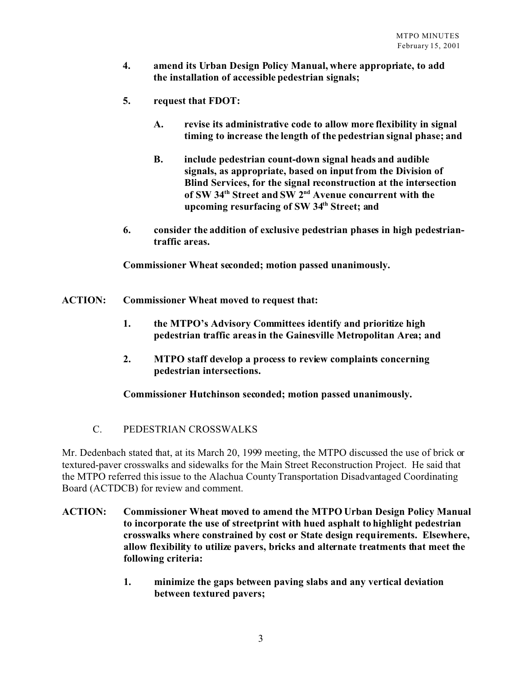- **4. amend its Urban Design Policy Manual, where appropriate, to add the installation of accessible pedestrian signals;**
- **5. request that FDOT:** 
	- **A. revise its administrative code to allow more flexibility in signal timing to increase the length of the pedestrian signal phase; and**
	- **B. include pedestrian count-down signal heads and audible signals, as appropriate, based on input from the Division of Blind Services, for the signal reconstruction at the intersection of SW 34th Street and SW 2nd Avenue concurrent with the upcoming resurfacing of SW 34th Street; and**
- **6. consider the addition of exclusive pedestrian phases in high pedestriantraffic areas.**

**Commissioner Wheat seconded; motion passed unanimously.**

- **ACTION: Commissioner Wheat moved to request that:**
	- **1. the MTPO's Advisory Committees identify and prioritize high pedestrian traffic areas in the Gainesville Metropolitan Area; and**
	- **2. MTPO staff develop a process to review complaints concerning pedestrian intersections.**

**Commissioner Hutchinson seconded; motion passed unanimously.**

C. PEDESTRIAN CROSSWALKS

Mr. Dedenbach stated that, at its March 20, 1999 meeting, the MTPO discussed the use of brick or textured-paver crosswalks and sidewalks for the Main Street Reconstruction Project. He said that the MTPO referred this issue to the Alachua County Transportation Disadvantaged Coordinating Board (ACTDCB) for review and comment.

- **ACTION: Commissioner Wheat moved to amend the MTPO Urban Design Policy Manual to incorporate the use of streetprint with hued asphalt to highlight pedestrian crosswalks where constrained by cost or State design requirements. Elsewhere, allow flexibility to utilize pavers, bricks and alternate treatments that meet the following criteria:**
	- **1. minimize the gaps between paving slabs and any vertical deviation between textured pavers;**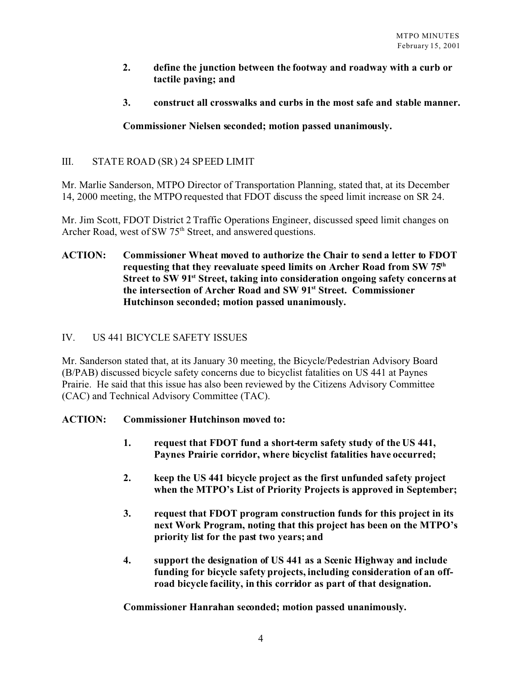## **2. define the junction between the footway and roadway with a curb or tactile paving; and**

**3. construct all crosswalks and curbs in the most safe and stable manner.**

# **Commissioner Nielsen seconded; motion passed unanimously.**

# III. STATE ROAD (SR) 24 SPEED LIMIT

Mr. Marlie Sanderson, MTPO Director of Transportation Planning, stated that, at its December 14, 2000 meeting, the MTPO requested that FDOT discuss the speed limit increase on SR 24.

Mr. Jim Scott, FDOT District 2 Traffic Operations Engineer, discussed speed limit changes on Archer Road, west of SW 75<sup>th</sup> Street, and answered questions.

## **ACTION: Commissioner Wheat moved to authorize the Chair to send a letter to FDOT requesting that they reevaluate speed limits on Archer Road from SW 75th Street to SW 91st Street, taking into consideration ongoing safety concerns at the intersection of Archer Road and SW 91st Street. Commissioner Hutchinson seconded; motion passed unanimously.**

# IV. US 441 BICYCLE SAFETY ISSUES

Mr. Sanderson stated that, at its January 30 meeting, the Bicycle/Pedestrian Advisory Board (B/PAB) discussed bicycle safety concerns due to bicyclist fatalities on US 441 at Paynes Prairie. He said that this issue has also been reviewed by the Citizens Advisory Committee (CAC) and Technical Advisory Committee (TAC).

## **ACTION: Commissioner Hutchinson moved to:**

- **1. request that FDOT fund a short-term safety study of the US 441, Paynes Prairie corridor, where bicyclist fatalities have occurred;**
- **2. keep the US 441 bicycle project as the first unfunded safety project when the MTPO's List of Priority Projects is approved in September;**
- **3. request that FDOT program construction funds for this project in its next Work Program, noting that this project has been on the MTPO's priority list for the past two years; and**
- **4. support the designation of US 441 as a Scenic Highway and include funding for bicycle safety projects, including consideration of an offroad bicycle facility, in this corridor as part of that designation.**

**Commissioner Hanrahan seconded; motion passed unanimously.**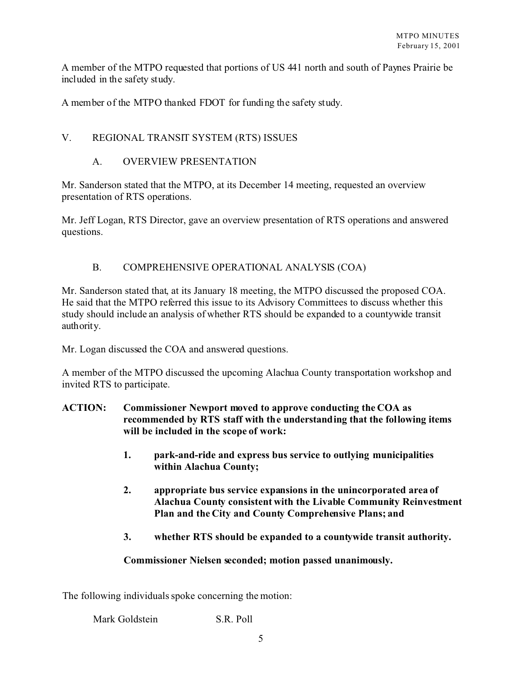A member of the MTPO requested that portions of US 441 north and south of Paynes Prairie be included in the safety study.

A member of the MTPO thanked FDOT for funding the safety study.

# V. REGIONAL TRANSIT SYSTEM (RTS) ISSUES

## A. OVERVIEW PRESENTATION

Mr. Sanderson stated that the MTPO, at its December 14 meeting, requested an overview presentation of RTS operations.

Mr. Jeff Logan, RTS Director, gave an overview presentation of RTS operations and answered questions.

# B. COMPREHENSIVE OPERATIONAL ANALYSIS (COA)

Mr. Sanderson stated that, at its January 18 meeting, the MTPO discussed the proposed COA. He said that the MTPO referred this issue to its Advisory Committees to discuss whether this study should include an analysis of whether RTS should be expanded to a countywide transit authority.

Mr. Logan discussed the COA and answered questions.

A member of the MTPO discussed the upcoming Alachua County transportation workshop and invited RTS to participate.

- **ACTION: Commissioner Newport moved to approve conducting the COA as recommended by RTS staff with the understanding that the following items will be included in the scope of work:**
	- **1. park-and-ride and express bus service to outlying municipalities within Alachua County;**
	- **2. appropriate bus service expansions in the unincorporated area of Alachua County consistent with the Livable Community Reinvestment Plan and the City and County Comprehensive Plans; and**
	- **3. whether RTS should be expanded to a countywide transit authority.**

## **Commissioner Nielsen seconded; motion passed unanimously.**

The following individuals spoke concerning the motion: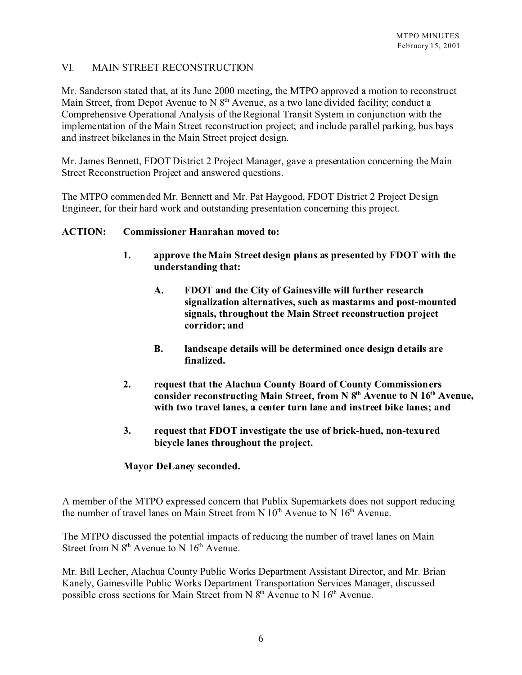## VI. MAIN STREET RECONSTRUCTION

Mr. Sanderson stated that, at its June 2000 meeting, the MTPO approved a motion to reconstruct Main Street, from Depot Avenue to N  $8<sup>th</sup>$  Avenue, as a two lane divided facility; conduct a Comprehensive Operational Analysis of the Regional Transit System in conjunction with the implementation of the Main Street reconstruction project; and include parallel parking, bus bays and instreet bikelanes in the Main Street project design.

Mr. James Bennett, FDOT District 2 Project Manager, gave a presentation concerning the Main Street Reconstruction Project and answered questions.

The MTPO commended Mr. Bennett and Mr. Pat Haygood, FDOT District 2 Project Design Engineer, for their hard work and outstanding presentation concerning this project.

### **ACTION: Commissioner Hanrahan moved to:**

- **1. approve the Main Street design plans as presented by FDOT with the understanding that:**
	- **A. FDOT and the City of Gainesville will further research signalization alternatives, such as mastarms and post-mounted signals, throughout the Main Street reconstruction project corridor; and**
	- **B. landscape details will be determined once design details are finalized.**
- **2. request that the Alachua County Board of County Commissioners consider reconstructing Main Street, from N 8th Avenue to N 16th Avenue, with two travel lanes, a center turn lane and instreet bike lanes; and**
- **3. request that FDOT investigate the use of brick-hued, non-texured bicycle lanes throughout the project.**

### **Mayor DeLaney seconded.**

A member of the MTPO expressed concern that Publix Supermarkets does not support reducing the number of travel lanes on Main Street from N  $10<sup>th</sup>$  Avenue to N  $16<sup>th</sup>$  Avenue.

The MTPO discussed the potential impacts of reducing the number of travel lanes on Main Street from N  $8<sup>th</sup>$  Avenue to N  $16<sup>th</sup>$  Avenue.

Mr. Bill Lecher, Alachua County Public Works Department Assistant Director, and Mr. Brian Kanely, Gainesville Public Works Department Transportation Services Manager, discussed possible cross sections for Main Street from N  $8<sup>th</sup>$  Avenue to N  $16<sup>th</sup>$  Avenue.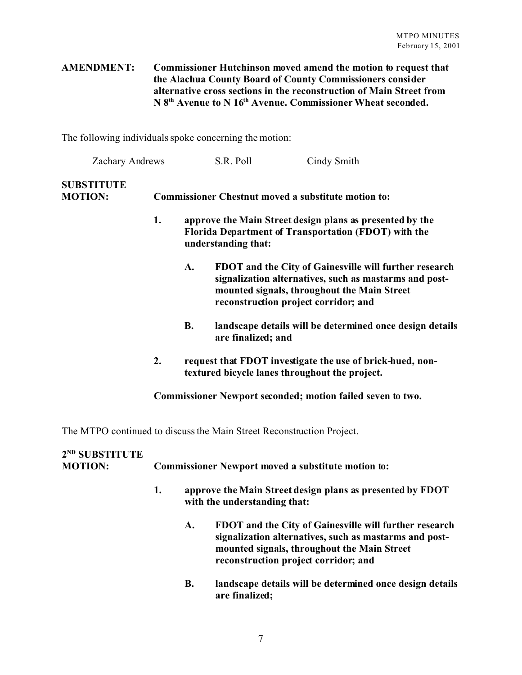## **AMENDMENT: Commissioner Hutchinson moved amend the motion to request that the Alachua County Board of County Commissioners consider alternative cross sections in the reconstruction of Main Street from N 8th Avenue to N 16th Avenue. Commissioner Wheat seconded.**

The following individuals spoke concerning the motion:

| <b>Zachary Andrews</b>              |    |                                                                                                                                         | S.R. Poll                                                                                                                                                                                               | Cindy Smith                                                                                                 |  |  |  |
|-------------------------------------|----|-----------------------------------------------------------------------------------------------------------------------------------------|---------------------------------------------------------------------------------------------------------------------------------------------------------------------------------------------------------|-------------------------------------------------------------------------------------------------------------|--|--|--|
| <b>SUBSTITUTE</b><br><b>MOTION:</b> |    | <b>Commissioner Chestnut moved a substitute motion to:</b>                                                                              |                                                                                                                                                                                                         |                                                                                                             |  |  |  |
|                                     | 1. | approve the Main Street design plans as presented by the<br>Florida Department of Transportation (FDOT) with the<br>understanding that: |                                                                                                                                                                                                         |                                                                                                             |  |  |  |
|                                     |    | A.                                                                                                                                      | FDOT and the City of Gainesville will further research<br>signalization alternatives, such as mastarms and post-<br>mounted signals, throughout the Main Street<br>reconstruction project corridor; and |                                                                                                             |  |  |  |
|                                     |    | <b>B.</b>                                                                                                                               | are finalized; and                                                                                                                                                                                      | landscape details will be determined once design details                                                    |  |  |  |
|                                     | 2. |                                                                                                                                         |                                                                                                                                                                                                         | request that FDOT investigate the use of brick-hued, non-<br>textured bicycle lanes throughout the project. |  |  |  |
|                                     |    |                                                                                                                                         |                                                                                                                                                                                                         | Commissioner Newport seconded; motion failed seven to two.                                                  |  |  |  |

The MTPO continued to discuss the Main Street Reconstruction Project.

| 2 <sup>ND</sup> SUBSTITUTE<br><b>MOTION:</b> | <b>Commissioner Newport moved a substitute motion to:</b> |                                                                                           |                                                                                                                                                                                                         |  |
|----------------------------------------------|-----------------------------------------------------------|-------------------------------------------------------------------------------------------|---------------------------------------------------------------------------------------------------------------------------------------------------------------------------------------------------------|--|
|                                              | 1.                                                        | approve the Main Street design plans as presented by FDOT<br>with the understanding that: |                                                                                                                                                                                                         |  |
|                                              |                                                           | A.                                                                                        | FDOT and the City of Gainesville will further research<br>signalization alternatives, such as mastarms and post-<br>mounted signals, throughout the Main Street<br>reconstruction project corridor; and |  |
|                                              |                                                           | В.                                                                                        | landscape details will be determined once design details<br>are finalized;                                                                                                                              |  |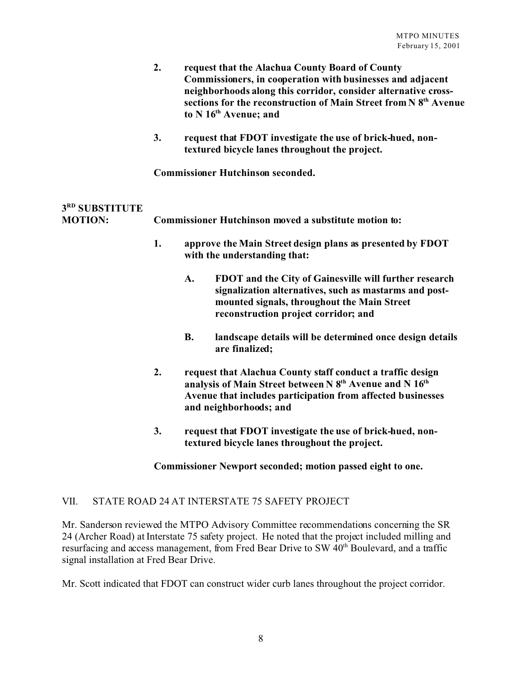|                                  | 2.                                       |           | request that the Alachua County Board of County<br>Commissioners, in cooperation with businesses and adjacent<br>neighborhoods along this corridor, consider alternative cross-<br>sections for the reconstruction of Main Street from N 8 <sup>th</sup> Avenue<br>to N 16th Avenue; and |
|----------------------------------|------------------------------------------|-----------|------------------------------------------------------------------------------------------------------------------------------------------------------------------------------------------------------------------------------------------------------------------------------------------|
|                                  | 3.                                       |           | request that FDOT investigate the use of brick-hued, non-<br>textured bicycle lanes throughout the project.                                                                                                                                                                              |
|                                  | <b>Commissioner Hutchinson seconded.</b> |           |                                                                                                                                                                                                                                                                                          |
| 3RD SUBSTITUTE<br><b>MOTION:</b> |                                          |           | <b>Commissioner Hutchinson moved a substitute motion to:</b>                                                                                                                                                                                                                             |
|                                  | 1.                                       |           | approve the Main Street design plans as presented by FDOT<br>with the understanding that:                                                                                                                                                                                                |
|                                  |                                          | A.        | FDOT and the City of Gainesville will further research<br>signalization alternatives, such as mastarms and post-<br>mounted signals, throughout the Main Street<br>reconstruction project corridor; and                                                                                  |
|                                  |                                          | <b>B.</b> | landscape details will be determined once design details<br>are finalized;                                                                                                                                                                                                               |
|                                  | 2.                                       |           | request that Alachua County staff conduct a traffic design<br>analysis of Main Street between N 8 <sup>th</sup> Avenue and N 16 <sup>th</sup><br>Avenue that includes participation from affected businesses                                                                             |

**3. request that FDOT investigate the use of brick-hued, nontextured bicycle lanes throughout the project.**

#### **Commissioner Newport seconded; motion passed eight to one.**

## VII. STATE ROAD 24 AT INTERSTATE 75 SAFETY PROJECT

Mr. Sanderson reviewed the MTPO Advisory Committee recommendations concerning the SR 24 (Archer Road) at Interstate 75 safety project. He noted that the project included milling and resurfacing and access management, from Fred Bear Drive to SW 40<sup>th</sup> Boulevard, and a traffic signal installation at Fred Bear Drive.

**and neighborhoods; and**

Mr. Scott indicated that FDOT can construct wider curb lanes throughout the project corridor.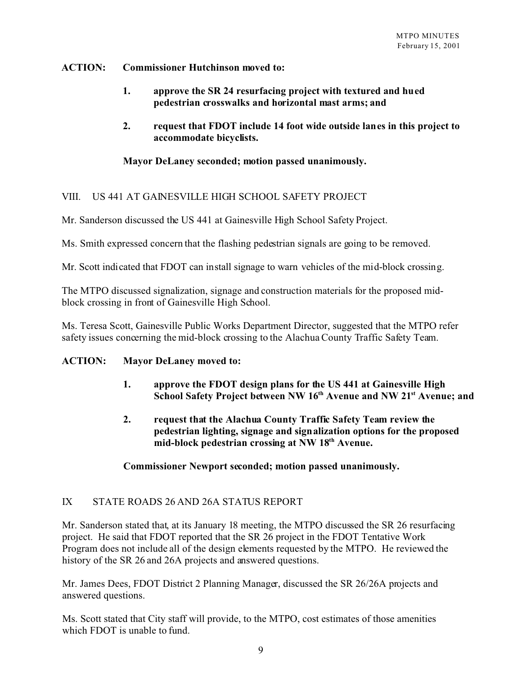## **ACTION: Commissioner Hutchinson moved to:**

- **1. approve the SR 24 resurfacing project with textured and hued pedestrian crosswalks and horizontal mast arms; and**
- **2. request that FDOT include 14 foot wide outside lanes in this project to accommodate bicyclists.**

## **Mayor DeLaney seconded; motion passed unanimously.**

## VIII. US 441 AT GAINESVILLE HIGH SCHOOL SAFETY PROJECT

Mr. Sanderson discussed the US 441 at Gainesville High School Safety Project.

Ms. Smith expressed concern that the flashing pedestrian signals are going to be removed.

Mr. Scott indicated that FDOT can install signage to warn vehicles of the mid-block crossing.

The MTPO discussed signalization, signage and construction materials for the proposed midblock crossing in front of Gainesville High School.

Ms. Teresa Scott, Gainesville Public Works Department Director, suggested that the MTPO refer safety issues concerning the mid-block crossing to the Alachua County Traffic Safety Team.

### **ACTION: Mayor DeLaney moved to:**

- **1. approve the FDOT design plans for the US 441 at Gainesville High School Safety Project between NW 16th Avenue and NW 21st Avenue; and**
- **2. request that the Alachua County Traffic Safety Team review the pedestrian lighting, signage and signalization options for the proposed mid-block pedestrian crossing at NW 18th Avenue.**

### **Commissioner Newport seconded; motion passed unanimously.**

## IX STATE ROADS 26 AND 26A STATUS REPORT

Mr. Sanderson stated that, at its January 18 meeting, the MTPO discussed the SR 26 resurfacing project. He said that FDOT reported that the SR 26 project in the FDOT Tentative Work Program does not include all of the design elements requested by the MTPO. He reviewed the history of the SR 26 and 26A projects and answered questions.

Mr. James Dees, FDOT District 2 Planning Manager, discussed the SR 26/26A projects and answered questions.

Ms. Scott stated that City staff will provide, to the MTPO, cost estimates of those amenities which FDOT is unable to fund.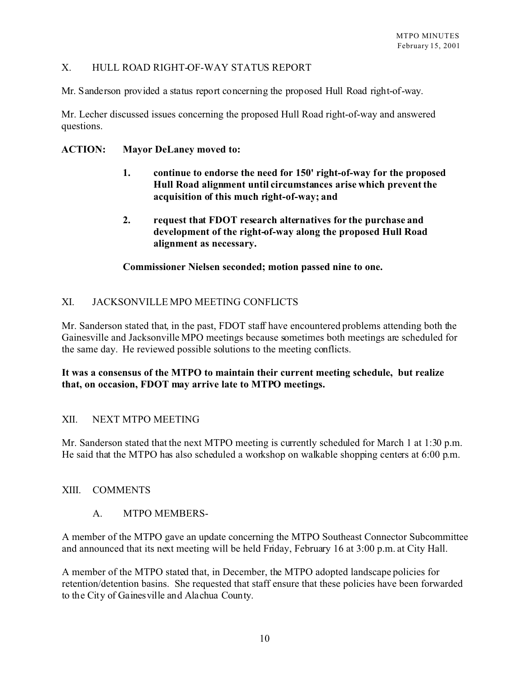## X. HULL ROAD RIGHT-OF-WAY STATUS REPORT

Mr. Sanderson provided a status report concerning the proposed Hull Road right-of-way.

Mr. Lecher discussed issues concerning the proposed Hull Road right-of-way and answered questions.

## **ACTION: Mayor DeLaney moved to:**

- **1. continue to endorse the need for 150' right-of-way for the proposed Hull Road alignment until circumstances arise which prevent the acquisition of this much right-of-way; and**
- **2. request that FDOT research alternatives for the purchase and development of the right-of-way along the proposed Hull Road alignment as necessary.**

**Commissioner Nielsen seconded; motion passed nine to one.**

## XI. JACKSONVILLE MPO MEETING CONFLICTS

Mr. Sanderson stated that, in the past, FDOT staff have encountered problems attending both the Gainesville and Jacksonville MPO meetings because sometimes both meetings are scheduled for the same day. He reviewed possible solutions to the meeting conflicts.

## **It was a consensus of the MTPO to maintain their current meeting schedule, but realize that, on occasion, FDOT may arrive late to MTPO meetings.**

### XII. NEXT MTPO MEETING

Mr. Sanderson stated that the next MTPO meeting is currently scheduled for March 1 at 1:30 p.m. He said that the MTPO has also scheduled a workshop on walkable shopping centers at 6:00 p.m.

### XIII. COMMENTS

## A. MTPO MEMBERS-

A member of the MTPO gave an update concerning the MTPO Southeast Connector Subcommittee and announced that its next meeting will be held Friday, February 16 at 3:00 p.m. at City Hall.

A member of the MTPO stated that, in December, the MTPO adopted landscape policies for retention/detention basins. She requested that staff ensure that these policies have been forwarded to the City of Gainesville and Alachua County.